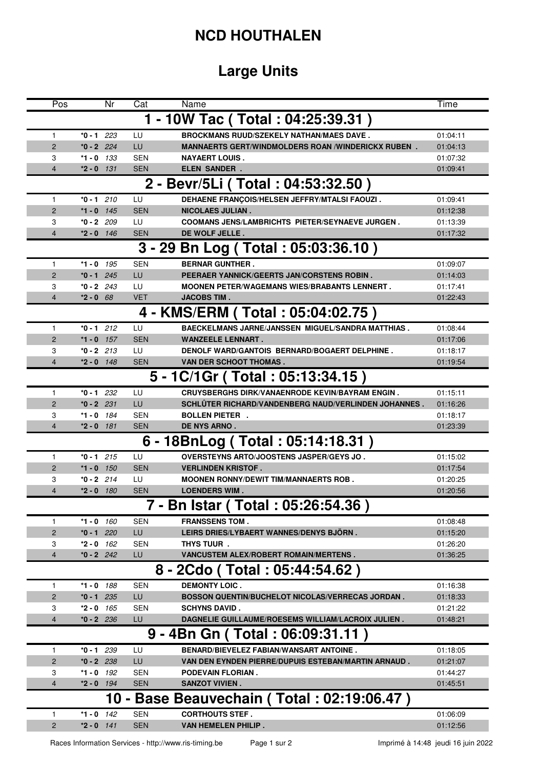## **NCD HOUTHALEN**

## **Large Units**

| Pos            |              | Nr   | Cat        | Name                                                      | Time     |
|----------------|--------------|------|------------|-----------------------------------------------------------|----------|
|                |              |      |            | 1 - 10W Tac (Total: 04:25:39.31)                          |          |
| 1              | $*0 - 1$ 223 |      | LU         | <b>BROCKMANS RUUD/SZEKELY NATHAN/MAES DAVE.</b>           | 01:04:11 |
| $\overline{2}$ | $*0 - 2$ 224 |      | LU         | <b>MANNAERTS GERT/WINDMOLDERS ROAN /WINDERICKX RUBEN.</b> | 01:04:13 |
| 3              | $*1 - 0$ 133 |      | <b>SEN</b> | <b>NAYAERT LOUIS.</b>                                     | 01:07:32 |
| 4              | $*2 - 0$ 131 |      | <b>SEN</b> | <b>ELEN SANDER.</b>                                       | 01:09:41 |
|                |              |      |            | 2 - Bevr/5Li (Total: 04:53:32.50)                         |          |
| $\mathbf{1}$   | $*0 - 1$ 210 |      | LU         | DEHAENE FRANÇOIS/HELSEN JEFFRY/MTALSI FAOUZI.             | 01:09:41 |
| 2              | $*1 - 0$ 145 |      | <b>SEN</b> | <b>NICOLAES JULIAN.</b>                                   | 01:12:38 |
| 3              | $*0 - 2$ 209 |      | LU         | <b>COOMANS JENS/LAMBRICHTS PIETER/SEYNAEVE JURGEN.</b>    | 01:13:39 |
| 4              | $*2 - 0$ 146 |      | <b>SEN</b> | DE WOLF JELLE.                                            | 01:17:32 |
|                |              |      |            | 3 - 29 Bn Log (Total: 05:03:36.10)                        |          |
| $\mathbf{1}$   | $*1 - 0$ 195 |      | <b>SEN</b> | <b>BERNAR GUNTHER.</b>                                    | 01:09:07 |
| $\overline{2}$ | $*0 - 1$ 245 |      | LU         | PEERAER YANNICK/GEERTS JAN/CORSTENS ROBIN.                | 01:14:03 |
| 3              | $*0 - 2$ 243 |      | LU         | <b>MOONEN PETER/WAGEMANS WIES/BRABANTS LENNERT.</b>       | 01:17:41 |
| 4              | $*2 - 0$ 68  |      | <b>VET</b> | <b>JACOBS TIM.</b>                                        | 01:22:43 |
|                |              |      |            | 4 - KMS/ERM (Total: 05:04:02.75)                          |          |
| $\mathbf{1}$   | $*0 - 1$ 212 |      | LU         | <b>BAECKELMANS JARNE/JANSSEN MIGUEL/SANDRA MATTHIAS.</b>  | 01:08:44 |
| 2              | *1 - 0 $157$ |      | <b>SEN</b> | <b>WANZEELE LENNART.</b>                                  | 01:17:06 |
| 3              | $*0 - 2$ 213 |      | LU         | DENOLF WARD/GANTOIS BERNARD/BOGAERT DELPHINE.             | 01:18:17 |
| 4              | $*2 - 0$ 148 |      | <b>SEN</b> | VAN DER SCHOOT THOMAS.                                    | 01:19:54 |
|                |              |      |            | 5 - 1C/1Gr (Total: 05:13:34.15)                           |          |
| $\mathbf{1}$   | $*0 - 1$ 232 |      | LU         | <b>CRUYSBERGHS DIRK/VANAENRODE KEVIN/BAYRAM ENGIN.</b>    | 01:15:11 |
| $\overline{2}$ | $*0 - 2$ 231 |      | LU         | SCHLÜTER RICHARD/VANDENBERG NAUD/VERLINDEN JOHANNES.      | 01:16:26 |
| 3              | $*1 - 0$ 184 |      | <b>SEN</b> | <b>BOLLEN PIETER.</b>                                     | 01:18:17 |
| 4              | $*2 - 0$ 181 |      | <b>SEN</b> | <b>DE NYS ARNO.</b>                                       | 01:23:39 |
|                |              |      |            | 6 - 18BnLog (Total: 05:14:18.31)                          |          |
| $\mathbf{1}$   | $*0 - 1$ 215 |      | LU         | OVERSTEYNS ARTO/JOOSTENS JASPER/GEYS JO.                  | 01:15:02 |
| $\overline{2}$ | $*1 - 0$ 150 |      | <b>SEN</b> | <b>VERLINDEN KRISTOF.</b>                                 | 01:17:54 |
| 3              | $*0 - 2$ 214 |      | LU         | <b>MOONEN RONNY/DEWIT TIM/MANNAERTS ROB.</b>              | 01:20:25 |
| 4              | $*2 - 0$ 180 |      | <b>SEN</b> | <b>LOENDERS WIM.</b>                                      | 01:20:56 |
|                |              |      | 7          | Bn Istar (Total: 05:26:54.36)                             |          |
| 1              | $*1 - 0$ 160 |      | <b>SEN</b> | <b>FRANSSENS TOM.</b>                                     | 01:08:48 |
| $\overline{2}$ | $*0 - 1$     | 220  | LU         | LEIRS DRIES/LYBAERT WANNES/DENYS BJÖRN.                   | 01:15:20 |
| 3              | *2 - 0       | 162  | <b>SEN</b> | THYS TUUR.                                                | 01:26:20 |
| $\overline{4}$ | $*0 - 2$ 242 |      | LU         | <b>VANCUSTEM ALEX/ROBERT ROMAIN/MERTENS.</b>              | 01:36:25 |
|                |              |      |            | 8 - 2Cdo (Total: 05:44:54.62)                             |          |
| 1              | $*1 - 0$ 188 |      | <b>SEN</b> | <b>DEMONTY LOIC.</b>                                      | 01:16:38 |
| $\overline{c}$ | $*0 - 1$ 235 |      | LU         | <b>BOSSON QUENTIN/BUCHELOT NICOLAS/VERRECAS JORDAN.</b>   | 01:18:33 |
| 3              | $*2 - 0$ 165 |      | <b>SEN</b> | <b>SCHYNS DAVID.</b>                                      | 01:21:22 |
| 4              | $*0 - 2$ 236 |      | LU         | DAGNELIE GUILLAUME/ROESEMS WILLIAM/LACROIX JULIEN.        | 01:48:21 |
|                |              |      |            | 9 - 4Bn Gn ( Total : 06:09:31.11 )                        |          |
| $\mathbf{1}$   | $*0 - 1$ 239 |      | LU         | <b>BENARD/BIEVELEZ FABIAN/WANSART ANTOINE.</b>            | 01:18:05 |
| $\overline{c}$ | $*0 - 2$ 238 |      | LU         | VAN DEN EYNDEN PIERRE/DUPUIS ESTEBAN/MARTIN ARNAUD.       | 01:21:07 |
| 3              | *1 - 0       | 192  | SEN        | <b>PODEVAIN FLORIAN.</b>                                  | 01:44:27 |
| 4              | $*2 - 0$     | 194  | <b>SEN</b> | <b>SANZOT VIVIEN.</b>                                     | 01:45:51 |
|                |              | 10 - |            | Base Beauvechain (Total: 02:19:06.47)                     |          |
| 1              | $*1 - 0$ 142 |      | <b>SEN</b> | <b>CORTHOUTS STEF.</b>                                    | 01:06:09 |
| $\overline{c}$ | $*2 - 0$ 141 |      | <b>SEN</b> | VAN HEMELEN PHILIP.                                       | 01:12:56 |